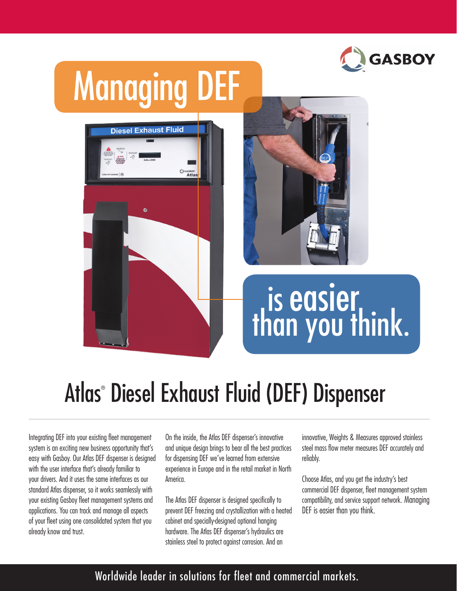

## Managing DEF





# than you think.

### Atlas® Diesel Exhaust Fluid (DEF) Dispenser

Integrating DEF into your existing fleet management system is an exciting new business opportunity that's easy with Gasboy. Our Atlas DEF dispenser is designed with the user interface that's already familiar to your drivers. And it uses the same interfaces as our standard Atlas dispenser, so it works seamlessly with your existing Gasboy fleet management systems and applications. You can track and manage all aspects of your fleet using one consolidated system that you already know and trust.

On the inside, the Atlas DEF dispenser's innovative and unique design brings to bear all the best practices for dispensing DEF we've learned from extensive experience in Europe and in the retail market in North America.

The Atlas DEF dispenser is designed specifically to prevent DEF freezing and crystallization with a heated cabinet and specially-designed optional hanging hardware. The Atlas DEF dispenser's hydraulics are stainless steel to protect against corrosion. And an

innovative, Weights & Measures approved stainless steel mass flow meter measures DEF accurately and reliably.

Choose Atlas, and you get the industry's best commercial DEF dispenser, fleet management system compatibility, and service support network. Managing DEF is easier than you think.

#### Worldwide leader in solutions for fleet and commercial markets.